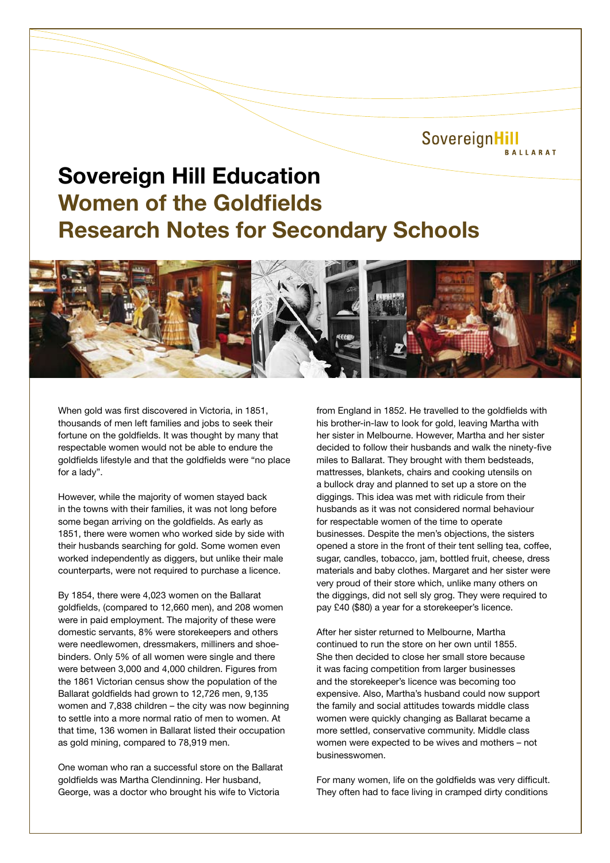SovereignHill **BALLARAT** 

## **Sovereign Hill Education Women of the Goldfields Research Notes for Secondary Schools**



When gold was first discovered in Victoria, in 1851, thousands of men left families and jobs to seek their fortune on the goldfields. It was thought by many that respectable women would not be able to endure the goldfields lifestyle and that the goldfields were "no place for a lady".

However, while the majority of women stayed back in the towns with their families, it was not long before some began arriving on the goldfields. As early as 1851, there were women who worked side by side with their husbands searching for gold. Some women even worked independently as diggers, but unlike their male counterparts, were not required to purchase a licence.

By 1854, there were 4,023 women on the Ballarat goldfields, (compared to 12,660 men), and 208 women were in paid employment. The majority of these were domestic servants, 8% were storekeepers and others were needlewomen, dressmakers, milliners and shoebinders. Only 5% of all women were single and there were between 3,000 and 4,000 children. Figures from the 1861 Victorian census show the population of the Ballarat goldfields had grown to 12,726 men, 9,135 women and 7,838 children – the city was now beginning to settle into a more normal ratio of men to women. At that time, 136 women in Ballarat listed their occupation as gold mining, compared to 78,919 men.

One woman who ran a successful store on the Ballarat goldfields was Martha Clendinning. Her husband, George, was a doctor who brought his wife to Victoria

from England in 1852. He travelled to the goldfields with his brother-in-law to look for gold, leaving Martha with her sister in Melbourne. However, Martha and her sister decided to follow their husbands and walk the ninety-five miles to Ballarat. They brought with them bedsteads, mattresses, blankets, chairs and cooking utensils on a bullock dray and planned to set up a store on the diggings. This idea was met with ridicule from their husbands as it was not considered normal behaviour for respectable women of the time to operate businesses. Despite the men's objections, the sisters opened a store in the front of their tent selling tea, coffee, sugar, candles, tobacco, jam, bottled fruit, cheese, dress materials and baby clothes. Margaret and her sister were very proud of their store which, unlike many others on the diggings, did not sell sly grog. They were required to pay £40 (\$80) a year for a storekeeper's licence.

After her sister returned to Melbourne, Martha continued to run the store on her own until 1855. She then decided to close her small store because it was facing competition from larger businesses and the storekeeper's licence was becoming too expensive. Also, Martha's husband could now support the family and social attitudes towards middle class women were quickly changing as Ballarat became a more settled, conservative community. Middle class women were expected to be wives and mothers – not businesswomen.

For many women, life on the goldfields was very difficult. They often had to face living in cramped dirty conditions